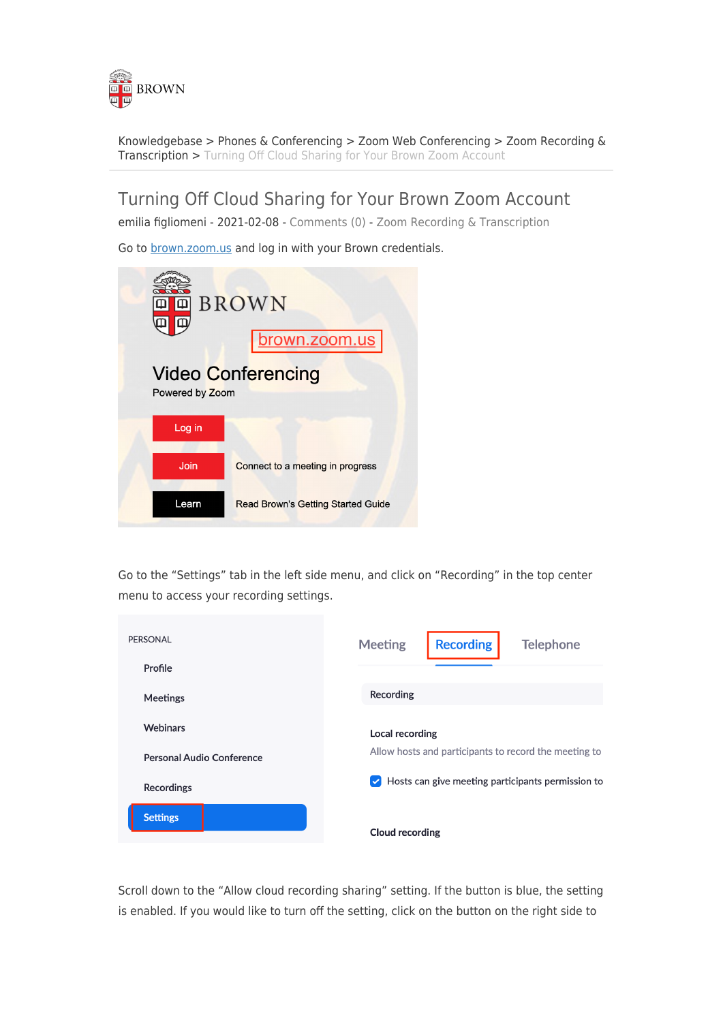

[Knowledgebase](https://ithelp.brown.edu/kb) > [Phones & Conferencing](https://ithelp.brown.edu/kb/phones-conferencing) > [Zoom Web Conferencing](https://ithelp.brown.edu/kb/zoom-web-conferencing) > [Zoom Recording &](https://ithelp.brown.edu/kb/zoom-recording-transcription) [Transcription](https://ithelp.brown.edu/kb/zoom-recording-transcription) > [Turning Off Cloud Sharing for Your Brown Zoom Account](https://ithelp.brown.edu/kb/articles/turning-off-cloud-sharing-for-your-brown-zoom-account)

Turning Off Cloud Sharing for Your Brown Zoom Account

emilia figliomeni - 2021-02-08 - [Comments \(0\)](#page--1-0) - [Zoom Recording & Transcription](https://ithelp.brown.edu/kb/zoom-recording-transcription)

Go to [brown.zoom.us](http://brown.zoom.us) and log in with your Brown credentials.



Go to the "Settings" tab in the left side menu, and click on "Recording" in the top center menu to access your recording settings.

| <b>PERSONAL</b>           | <b>Recording</b><br><b>Meeting</b><br><b>Telephone</b>                    |
|---------------------------|---------------------------------------------------------------------------|
| Profile                   |                                                                           |
| <b>Meetings</b>           | Recording                                                                 |
| <b>Webinars</b>           | <b>Local recording</b>                                                    |
| Personal Audio Conference | Allow hosts and participants to record the meeting to                     |
| <b>Recordings</b>         | Hosts can give meeting participants permission to<br>$\blacktriangledown$ |
| <b>Settings</b>           | Cloud recording                                                           |

Scroll down to the "Allow cloud recording sharing" setting. If the button is blue, the setting is enabled. If you would like to turn off the setting, click on the button on the right side to